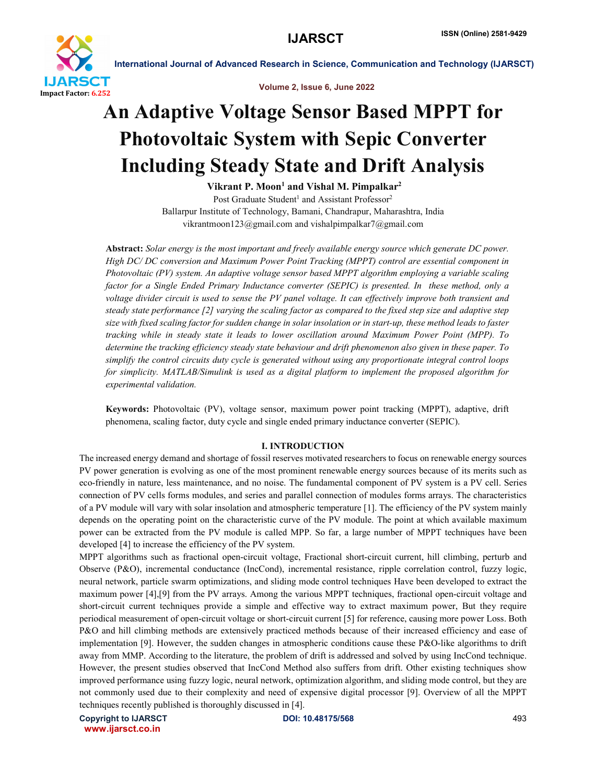

Volume 2, Issue 6, June 2022

## An Adaptive Voltage Sensor Based MPPT for Photovoltaic System with Sepic Converter Including Steady State and Drift Analysis

Vikrant P. Moon<sup>1</sup> and Vishal M. Pimpalkar<sup>2</sup>

Post Graduate Student<sup>1</sup> and Assistant Professor<sup>2</sup> Ballarpur Institute of Technology, Bamani, Chandrapur, Maharashtra, India vikrantmoon123@gmail.com and vishalpimpalkar7@gmail.com

Abstract: *Solar energy is the most important and freely available energy source which generate DC power. High DC/ DC conversion and Maximum Power Point Tracking (MPPT) control are essential component in Photovoltaic (PV) system. An adaptive voltage sensor based MPPT algorithm employing a variable scaling factor for a Single Ended Primary Inductance converter (SEPIC) is presented. In these method, only a voltage divider circuit is used to sense the PV panel voltage. It can effectively improve both transient and steady state performance [2] varying the scaling factor as compared to the fixed step size and adaptive step size with fixed scaling factor for sudden change in solar insolation or in start-up, these method leads to faster tracking while in steady state it leads to lower oscillation around Maximum Power Point (MPP). To determine the tracking efficiency steady state behaviour and drift phenomenon also given in these paper. To simplify the control circuits duty cycle is generated without using any proportionate integral control loops for simplicity. MATLAB/Simulink is used as a digital platform to implement the proposed algorithm for experimental validation.*

Keywords: Photovoltaic (PV), voltage sensor, maximum power point tracking (MPPT), adaptive, drift phenomena, scaling factor, duty cycle and single ended primary inductance converter (SEPIC).

#### I. INTRODUCTION

The increased energy demand and shortage of fossil reserves motivated researchers to focus on renewable energy sources PV power generation is evolving as one of the most prominent renewable energy sources because of its merits such as eco-friendly in nature, less maintenance, and no noise. The fundamental component of PV system is a PV cell. Series connection of PV cells forms modules, and series and parallel connection of modules forms arrays. The characteristics of a PV module will vary with solar insolation and atmospheric temperature [1]. The efficiency of the PV system mainly depends on the operating point on the characteristic curve of the PV module. The point at which available maximum power can be extracted from the PV module is called MPP. So far, a large number of MPPT techniques have been developed [4] to increase the efficiency of the PV system.

MPPT algorithms such as fractional open-circuit voltage, Fractional short-circuit current, hill climbing, perturb and Observe (P&O), incremental conductance (IncCond), incremental resistance, ripple correlation control, fuzzy logic, neural network, particle swarm optimizations, and sliding mode control techniques Have been developed to extract the maximum power [4],[9] from the PV arrays. Among the various MPPT techniques, fractional open-circuit voltage and short-circuit current techniques provide a simple and effective way to extract maximum power, But they require periodical measurement of open-circuit voltage or short-circuit current [5] for reference, causing more power Loss. Both P&O and hill climbing methods are extensively practiced methods because of their increased efficiency and ease of implementation [9]. However, the sudden changes in atmospheric conditions cause these P&O-like algorithms to drift away from MMP. According to the literature, the problem of drift is addressed and solved by using IncCond technique. However, the present studies observed that IncCond Method also suffers from drift. Other existing techniques show improved performance using fuzzy logic, neural network, optimization algorithm, and sliding mode control, but they are not commonly used due to their complexity and need of expensive digital processor [9]. Overview of all the MPPT techniques recently published is thoroughly discussed in [4].

Copyright to IJARSCT **DOI: 10.48175/568** 493 www.ijarsct.co.in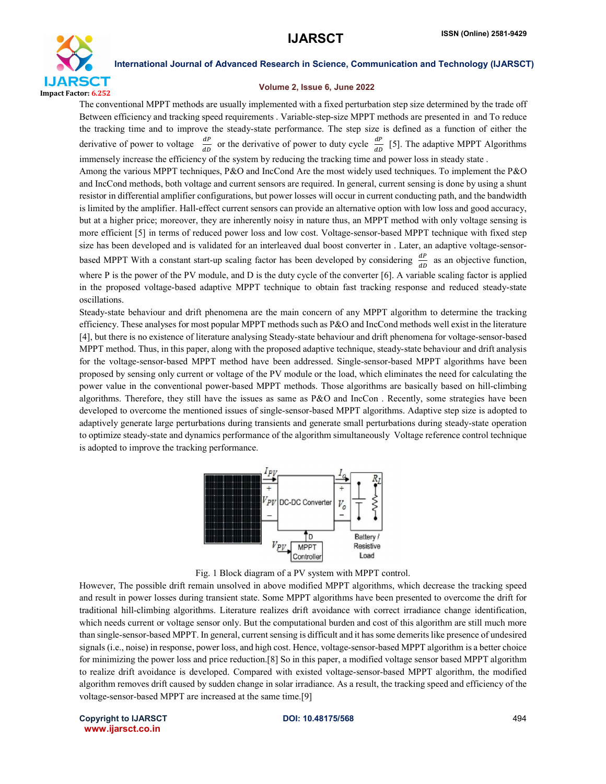

#### Volume 2, Issue 6, June 2022

The conventional MPPT methods are usually implemented with a fixed perturbation step size determined by the trade off Between efficiency and tracking speed requirements . Variable-step-size MPPT methods are presented in and To reduce the tracking time and to improve the steady-state performance. The step size is defined as a function of either the derivative of power to voltage  $\frac{dP}{dD}$  or the derivative of power to duty cycle  $\frac{dP}{dD}$  [5]. The adaptive MPPT Algorithms immensely increase the efficiency of the system by reducing the tracking time and power loss in steady state . Among the various MPPT techniques, P&O and IncCond Are the most widely used techniques. To implement the P&O and IncCond methods, both voltage and current sensors are required. In general, current sensing is done by using a shunt resistor in differential amplifier configurations, but power losses will occur in current conducting path, and the bandwidth is limited by the amplifier. Hall-effect current sensors can provide an alternative option with low loss and good accuracy, but at a higher price; moreover, they are inherently noisy in nature thus, an MPPT method with only voltage sensing is more efficient [5] in terms of reduced power loss and low cost. Voltage-sensor-based MPPT technique with fixed step size has been developed and is validated for an interleaved dual boost converter in . Later, an adaptive voltage-sensorbased MPPT With a constant start-up scaling factor has been developed by considering  $\frac{dP}{dD}$  as an objective function, where P is the power of the PV module, and D is the duty cycle of the converter [6]. A variable scaling factor is applied in the proposed voltage-based adaptive MPPT technique to obtain fast tracking response and reduced steady-state oscillations.

Steady-state behaviour and drift phenomena are the main concern of any MPPT algorithm to determine the tracking efficiency. These analyses for most popular MPPT methods such as P&O and IncCond methods well exist in the literature [4], but there is no existence of literature analysing Steady-state behaviour and drift phenomena for voltage-sensor-based MPPT method. Thus, in this paper, along with the proposed adaptive technique, steady-state behaviour and drift analysis for the voltage-sensor-based MPPT method have been addressed. Single-sensor-based MPPT algorithms have been proposed by sensing only current or voltage of the PV module or the load, which eliminates the need for calculating the power value in the conventional power-based MPPT methods. Those algorithms are basically based on hill-climbing algorithms. Therefore, they still have the issues as same as P&O and IncCon . Recently, some strategies have been developed to overcome the mentioned issues of single-sensor-based MPPT algorithms. Adaptive step size is adopted to adaptively generate large perturbations during transients and generate small perturbations during steady-state operation to optimize steady-state and dynamics performance of the algorithm simultaneously Voltage reference control technique is adopted to improve the tracking performance.





However, The possible drift remain unsolved in above modified MPPT algorithms, which decrease the tracking speed and result in power losses during transient state. Some MPPT algorithms have been presented to overcome the drift for traditional hill-climbing algorithms. Literature realizes drift avoidance with correct irradiance change identification, which needs current or voltage sensor only. But the computational burden and cost of this algorithm are still much more than single-sensor-based MPPT. In general, current sensing is difficult and it has some demerits like presence of undesired signals (i.e., noise) in response, power loss, and high cost. Hence, voltage-sensor-based MPPT algorithm is a better choice for minimizing the power loss and price reduction.[8] So in this paper, a modified voltage sensor based MPPT algorithm to realize drift avoidance is developed. Compared with existed voltage-sensor-based MPPT algorithm, the modified algorithm removes drift caused by sudden change in solar irradiance. As a result, the tracking speed and efficiency of the voltage-sensor-based MPPT are increased at the same time.[9]

Copyright to IJARSCT **DOI: 10.48175/568** 494 www.ijarsct.co.in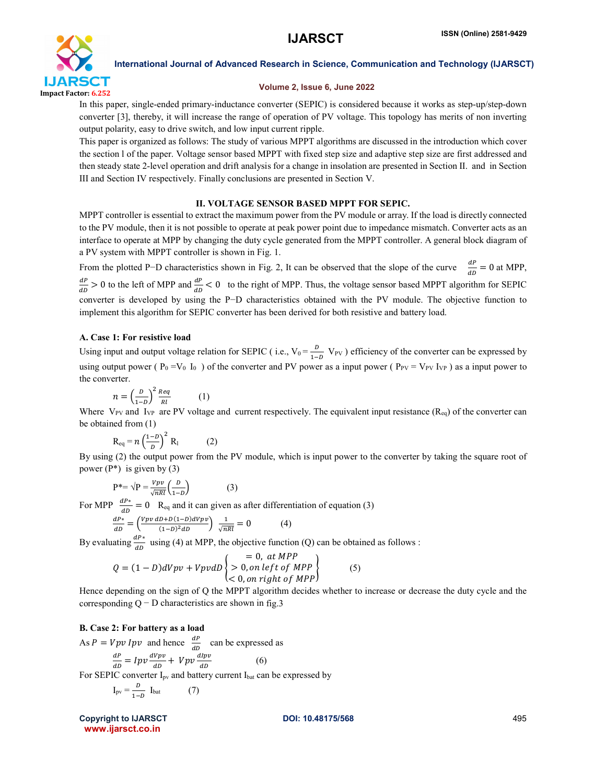

#### Volume 2, Issue 6, June 2022

In this paper, single-ended primary-inductance converter (SEPIC) is considered because it works as step-up/step-down converter [3], thereby, it will increase the range of operation of PV voltage. This topology has merits of non inverting output polarity, easy to drive switch, and low input current ripple.

This paper is organized as follows: The study of various MPPT algorithms are discussed in the introduction which cover the section l of the paper. Voltage sensor based MPPT with fixed step size and adaptive step size are first addressed and then steady state 2-level operation and drift analysis for a change in insolation are presented in Section II. and in Section III and Section IV respectively. Finally conclusions are presented in Section V.

## II. VOLTAGE SENSOR BASED MPPT FOR SEPIC.

MPPT controller is essential to extract the maximum power from the PV module or array. If the load is directly connected to the PV module, then it is not possible to operate at peak power point due to impedance mismatch. Converter acts as an interface to operate at MPP by changing the duty cycle generated from the MPPT controller. A general block diagram of a PV system with MPPT controller is shown in Fig. 1.

From the plotted P–D characteristics shown in Fig. 2, It can be observed that the slope of the curve  $\frac{dP}{dD} = 0$  at MPP,  $\frac{dP}{dD}$  > 0 to the left of MPP and  $\frac{dP}{dD}$  < 0 to the right of MPP. Thus, the voltage sensor based MPPT algorithm for SEPIC converter is developed by using the P−D characteristics obtained with the PV module. The objective function to implement this algorithm for SEPIC converter has been derived for both resistive and battery load.

## A. Case 1: For resistive load

Using input and output voltage relation for SEPIC (i.e.,  $V_0 = \frac{D}{1-D} V_{PV}$ ) efficiency of the converter can be expressed by using output power ( $P_0 = V_0$  I<sub>0</sub>) of the converter and PV power as a input power ( $P_{PV} = V_{PV} I_{VP}$ ) as a input power to the converter.

$$
n = \left(\frac{D}{1-D}\right)^2 \frac{Req}{Rl} \tag{1}
$$

Where  $V_{PV}$  and  $I_{VP}$  are PV voltage and current respectively. The equivalent input resistance ( $R_{eq}$ ) of the converter can be obtained from (1)

$$
R_{eq} = n \left(\frac{1-D}{D}\right)^2 R_1 \tag{2}
$$

By using (2) the output power from the PV module, which is input power to the converter by taking the square root of power  $(P^*)$  is given by (3)

$$
P^* = \sqrt{P} = \frac{Vpv}{\sqrt{nRl}} \left(\frac{D}{1-D}\right) \tag{3}
$$

For MPP  $\frac{dP^*}{dD} = 0$  R<sub>eq</sub> and it can given as after differentiation of equation (3)

$$
\frac{dP^*}{dD} = \left(\frac{Vpv \, dD + D(1 - D)dVpv}{(1 - D)^2 dD}\right) \frac{1}{\sqrt{nRl}} = 0\tag{4}
$$

By evaluating  $\frac{dP^*}{dD}$  using (4) at MPP, the objective function (Q) can be obtained as follows :

$$
Q = (1 - D)dVpv + VpvdD \begin{Bmatrix} = 0, at MPP \\ > 0, on left of MPP \\ < 0, on right of MPP \end{Bmatrix}
$$
 (5)

Hence depending on the sign of Q the MPPT algorithm decides whether to increase or decrease the duty cycle and the corresponding  $Q - D$  characteristics are shown in fig.3

## B. Case 2: For battery as a load

As  $P = Vpv \; Ipv$  and hence  $\frac{dP}{dD}$  can be expressed as<br>  $\frac{dP}{dD} = Ipv \frac{dVpv}{dD} + Vpv \frac{dIpv}{dD}$  (6) For SEPIC converter I<sub>pv</sub> and battery current I<sub>bat</sub> can be expressed by

$$
I_{\text{pv}} = \frac{D}{1 - D} I_{\text{bat}} \tag{7}
$$

Copyright to IJARSCT **DOI: 10.48175/568** 495 www.ijarsct.co.in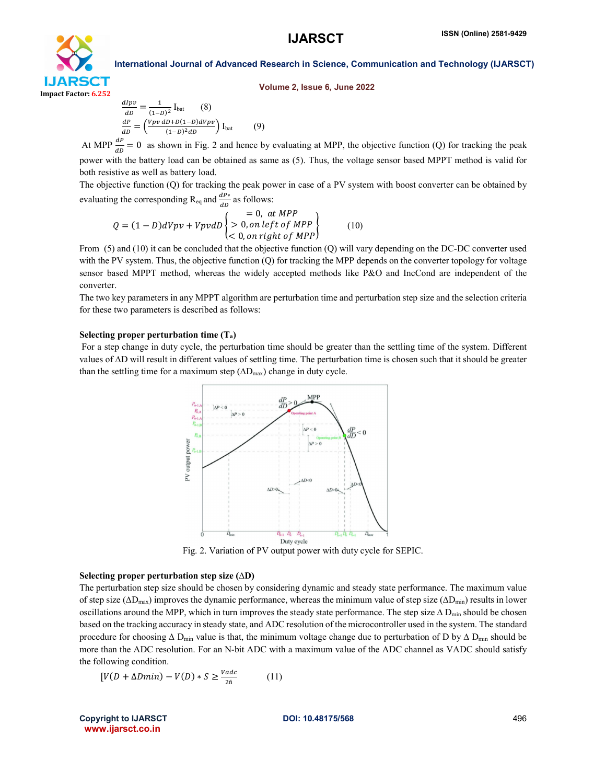

Volume 2, Issue 6, June 2022

International Journal of Advanced Research in Science, Communication and Technology (IJARSCT)

 $rac{d l p v}{d D} = \frac{1}{(1 - D)^2} I_{\text{bat}}$  (8)  $\frac{dP}{dD} = \left(\frac{Vpv \, dD + D(1-D)dVpv}{(1-D)^2 dD}\right) I_{bat} \tag{9}$ 

At MPP  $\frac{dP}{dD} = 0$  as shown in Fig. 2 and hence by evaluating at MPP, the objective function (Q) for tracking the peak power with the battery load can be obtained as same as (5). Thus, the voltage sensor based MPPT method is valid for both resistive as well as battery load.

The objective function (Q) for tracking the peak power in case of a PV system with boost converter can be obtained by evaluating the corresponding R<sub>eq</sub> and  $\frac{dP^*}{dD}$  as follows:

$$
Q = (1 - D)dVpv + VpvdD \begin{cases} = 0, at MPP \\ > 0, on left of MPP \\ < 0, on right of MPP \end{cases}
$$
 (10)

From (5) and (10) it can be concluded that the objective function (Q) will vary depending on the DC-DC converter used with the PV system. Thus, the objective function (Q) for tracking the MPP depends on the converter topology for voltage sensor based MPPT method, whereas the widely accepted methods like P&O and IncCond are independent of the converter.

The two key parameters in any MPPT algorithm are perturbation time and perturbation step size and the selection criteria for these two parameters is described as follows:

#### Selecting proper perturbation time  $(T_a)$

For a step change in duty cycle, the perturbation time should be greater than the settling time of the system. Different values of ∆D will result in different values of settling time. The perturbation time is chosen such that it should be greater than the settling time for a maximum step  $(ΔD<sub>max</sub>)$  change in duty cycle.



Fig. 2. Variation of PV output power with duty cycle for SEPIC.

#### Selecting proper perturbation step size (∆D)

The perturbation step size should be chosen by considering dynamic and steady state performance. The maximum value of step size (∆Dmax) improves the dynamic performance, whereas the minimum value of step size (∆Dmin) results in lower oscillations around the MPP, which in turn improves the steady state performance. The step size  $\Delta$  D<sub>min</sub> should be chosen based on the tracking accuracy in steady state, and ADC resolution of the microcontroller used in the system. The standard procedure for choosing  $\Delta$  D<sub>min</sub> value is that, the minimum voltage change due to perturbation of D by  $\Delta$  D<sub>min</sub> should be more than the ADC resolution. For an N-bit ADC with a maximum value of the ADC channel as VADC should satisfy the following condition.

$$
[V(D + \Delta Dmin) - V(D) * S \ge \frac{v_{adc}}{2\bar{n}} \tag{11}
$$

Copyright to IJARSCT **DOI: 10.48175/568** 496 www.ijarsct.co.in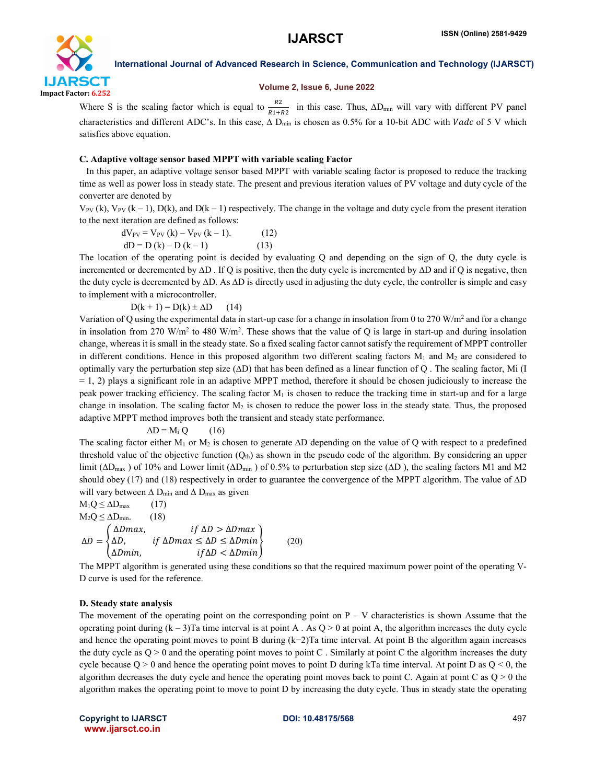

#### Volume 2, Issue 6, June 2022

Where S is the scaling factor which is equal to  $\frac{R2}{R1+R2}$  in this case. Thus,  $\Delta D_{min}$  will vary with different PV panel characteristics and different ADC's. In this case,  $\Delta$  D<sub>min</sub> is chosen as 0.5% for a 10-bit ADC with *Vadc* of 5 V which satisfies above equation.

#### C. Adaptive voltage sensor based MPPT with variable scaling Factor

 In this paper, an adaptive voltage sensor based MPPT with variable scaling factor is proposed to reduce the tracking time as well as power loss in steady state. The present and previous iteration values of PV voltage and duty cycle of the converter are denoted by

 $V_{PV}$  (k),  $V_{PV}$  (k – 1),  $D(k)$ , and  $D(k - 1)$  respectively. The change in the voltage and duty cycle from the present iteration to the next iteration are defined as follows:

$$
dV_{PV} = V_{PV} (k) - V_{PV} (k - 1).
$$
 (12)  

$$
dD = D (k) - D (k - 1)
$$
 (13)

The location of the operating point is decided by evaluating Q and depending on the sign of Q, the duty cycle is incremented or decremented by ∆D . If Q is positive, then the duty cycle is incremented by ∆D and if Q is negative, then the duty cycle is decremented by ∆D. As ∆D is directly used in adjusting the duty cycle, the controller is simple and easy to implement with a microcontroller.

 $D(k + 1) = D(k) \pm \Delta D$  (14)

Variation of Q using the experimental data in start-up case for a change in insolation from 0 to 270 W/m2 and for a change in insolation from 270 W/m<sup>2</sup> to 480 W/m<sup>2</sup>. These shows that the value of Q is large in start-up and during insolation change, whereas it is small in the steady state. So a fixed scaling factor cannot satisfy the requirement of MPPT controller in different conditions. Hence in this proposed algorithm two different scaling factors  $M_1$  and  $M_2$  are considered to optimally vary the perturbation step size (∆D) that has been defined as a linear function of Q . The scaling factor, Mi (I  $= 1, 2$ ) plays a significant role in an adaptive MPPT method, therefore it should be chosen judiciously to increase the peak power tracking efficiency. The scaling factor  $M_1$  is chosen to reduce the tracking time in start-up and for a large change in insolation. The scaling factor  $M_2$  is chosen to reduce the power loss in the steady state. Thus, the proposed adaptive MPPT method improves both the transient and steady state performance.

$$
\Delta D = M_i Q \qquad (16)
$$

The scaling factor either M<sub>1</sub> or M<sub>2</sub> is chosen to generate  $\Delta D$  depending on the value of Q with respect to a predefined threshold value of the objective function  $(Q<sub>th</sub>)$  as shown in the pseudo code of the algorithm. By considering an upper limit ( $\Delta D_{\text{max}}$ ) of 10% and Lower limit ( $\Delta D_{\text{min}}$ ) of 0.5% to perturbation step size ( $\Delta D$ ), the scaling factors M1 and M2 should obey (17) and (18) respectively in order to guarantee the convergence of the MPPT algorithm. The value of ∆D will vary between  $\Delta$  D<sub>min</sub> and  $\Delta$  D<sub>max</sub> as given

$$
M_1 Q \le \Delta D_{\text{max}} \qquad (17)
$$
  
\n
$$
M_2 Q \le \Delta D_{\text{min}}. \qquad (18)
$$
  
\n
$$
\Delta D = \begin{cases} \Delta D \text{max}, & \text{if } \Delta D > \Delta D \text{max} \\ \Delta D, & \text{if } \Delta D \text{max} \le \Delta D \le \Delta D \text{min} \\ \Delta D \text{min}, & \text{if } \Delta D < \Delta D \text{min} \end{cases} \qquad (20)
$$

The MPPT algorithm is generated using these conditions so that the required maximum power point of the operating V-D curve is used for the reference.

#### D. Steady state analysis

The movement of the operating point on the corresponding point on  $P - V$  characteristics is shown Assume that the operating point during  $(k - 3)$ Ta time interval is at point A . As  $Q > 0$  at point A, the algorithm increases the duty cycle and hence the operating point moves to point B during (k−2)Ta time interval. At point B the algorithm again increases the duty cycle as  $Q > 0$  and the operating point moves to point C. Similarly at point C the algorithm increases the duty cycle because  $Q > 0$  and hence the operating point moves to point D during kTa time interval. At point D as  $Q < 0$ , the algorithm decreases the duty cycle and hence the operating point moves back to point C. Again at point C as  $Q > 0$  the algorithm makes the operating point to move to point D by increasing the duty cycle. Thus in steady state the operating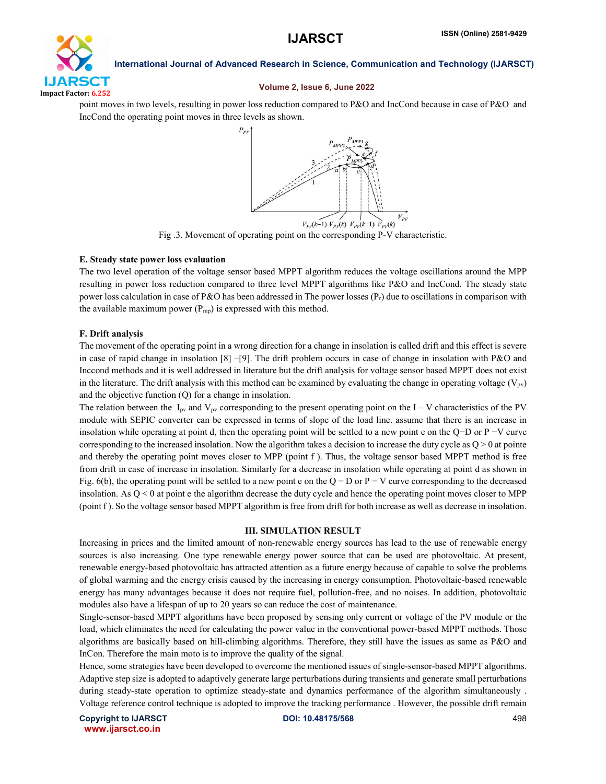

#### Volume 2, Issue 6, June 2022

point moves in two levels, resulting in power loss reduction compared to P&O and IncCond because in case of P&O and IncCond the operating point moves in three levels as shown.



Fig .3. Movement of operating point on the corresponding P-V characteristic.

#### E. Steady state power loss evaluation

The two level operation of the voltage sensor based MPPT algorithm reduces the voltage oscillations around the MPP resulting in power loss reduction compared to three level MPPT algorithms like P&O and IncCond. The steady state power loss calculation in case of P&O has been addressed in The power losses  $(P_r)$  due to oscillations in comparison with the available maximum power  $(P_{mp})$  is expressed with this method.

## F. Drift analysis

The movement of the operating point in a wrong direction for a change in insolation is called drift and this effect is severe in case of rapid change in insolation [8] –[9]. The drift problem occurs in case of change in insolation with P&O and Inccond methods and it is well addressed in literature but the drift analysis for voltage sensor based MPPT does not exist in the literature. The drift analysis with this method can be examined by evaluating the change in operating voltage  $(V_{\text{pv}})$ and the objective function (Q) for a change in insolation.

The relation between the I<sub>pv</sub> and V<sub>pv</sub> corresponding to the present operating point on the I – V characteristics of the PV module with SEPIC converter can be expressed in terms of slope of the load line. assume that there is an increase in insolation while operating at point d, then the operating point will be settled to a new point e on the Q−D or P −V curve corresponding to the increased insolation. Now the algorithm takes a decision to increase the duty cycle as  $Q > 0$  at pointe and thereby the operating point moves closer to MPP (point f ). Thus, the voltage sensor based MPPT method is free from drift in case of increase in insolation. Similarly for a decrease in insolation while operating at point d as shown in Fig. 6(b), the operating point will be settled to a new point e on the Q – D or P – V curve corresponding to the decreased insolation. As  $Q < 0$  at point e the algorithm decrease the duty cycle and hence the operating point moves closer to MPP (point f ). So the voltage sensor based MPPT algorithm is free from drift for both increase as well as decrease in insolation.

## III. SIMULATION RESULT

Increasing in prices and the limited amount of non-renewable energy sources has lead to the use of renewable energy sources is also increasing. One type renewable energy power source that can be used are photovoltaic. At present, renewable energy-based photovoltaic has attracted attention as a future energy because of capable to solve the problems of global warming and the energy crisis caused by the increasing in energy consumption. Photovoltaic-based renewable energy has many advantages because it does not require fuel, pollution-free, and no noises. In addition, photovoltaic modules also have a lifespan of up to 20 years so can reduce the cost of maintenance.

Single-sensor-based MPPT algorithms have been proposed by sensing only current or voltage of the PV module or the load, which eliminates the need for calculating the power value in the conventional power-based MPPT methods. Those algorithms are basically based on hill-climbing algorithms. Therefore, they still have the issues as same as P&O and InCon. Therefore the main moto is to improve the quality of the signal.

Hence, some strategies have been developed to overcome the mentioned issues of single-sensor-based MPPT algorithms. Adaptive step size is adopted to adaptively generate large perturbations during transients and generate small perturbations during steady-state operation to optimize steady-state and dynamics performance of the algorithm simultaneously . Voltage reference control technique is adopted to improve the tracking performance . However, the possible drift remain

Copyright to IJARSCT **DOI: 10.48175/568** 498 www.ijarsct.co.in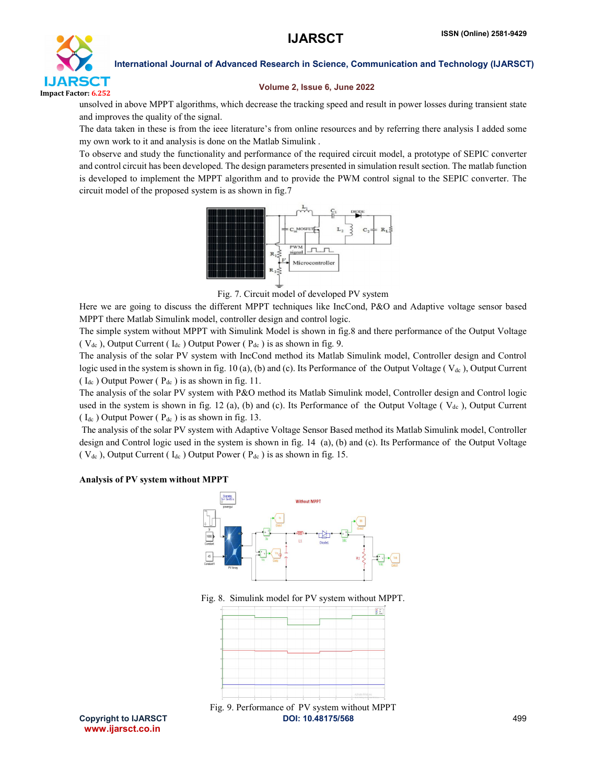

#### Volume 2, Issue 6, June 2022

unsolved in above MPPT algorithms, which decrease the tracking speed and result in power losses during transient state and improves the quality of the signal.

The data taken in these is from the ieee literature's from online resources and by referring there analysis I added some my own work to it and analysis is done on the Matlab Simulink .

To observe and study the functionality and performance of the required circuit model, a prototype of SEPIC converter and control circuit has been developed. The design parameters presented in simulation result section. The matlab function is developed to implement the MPPT algorithm and to provide the PWM control signal to the SEPIC converter. The circuit model of the proposed system is as shown in fig.7



Fig. 7. Circuit model of developed PV system

Here we are going to discuss the different MPPT techniques like IncCond, P&O and Adaptive voltage sensor based MPPT there Matlab Simulink model, controller design and control logic.

The simple system without MPPT with Simulink Model is shown in fig.8 and there performance of the Output Voltage (  $V_{dc}$  ), Output Current (  $I_{dc}$  ) Output Power (  $P_{dc}$  ) is as shown in fig. 9.

The analysis of the solar PV system with IncCond method its Matlab Simulink model, Controller design and Control logic used in the system is shown in fig. 10 (a), (b) and (c). Its Performance of the Output Voltage ( $V_{dc}$ ), Output Current ( $I_{dc}$ ) Output Power ( $P_{dc}$ ) is as shown in fig. 11.

The analysis of the solar PV system with P&O method its Matlab Simulink model, Controller design and Control logic used in the system is shown in fig. 12 (a), (b) and (c). Its Performance of the Output Voltage ( $V_{dc}$ ), Output Current ( $I_{dc}$ ) Output Power ( $P_{dc}$ ) is as shown in fig. 13.

The analysis of the solar PV system with Adaptive Voltage Sensor Based method its Matlab Simulink model, Controller design and Control logic used in the system is shown in fig. 14 (a), (b) and (c). Its Performance of the Output Voltage (  $V_{dc}$  ), Output Current (  $I_{dc}$  ) Output Power (  $P_{dc}$  ) is as shown in fig. 15.

#### Analysis of PV system without MPPT



Fig. 8. Simulink model for PV system without MPPT.



Copyright to IJARSCT **DOI: 10.48175/568** 499 www.ijarsct.co.in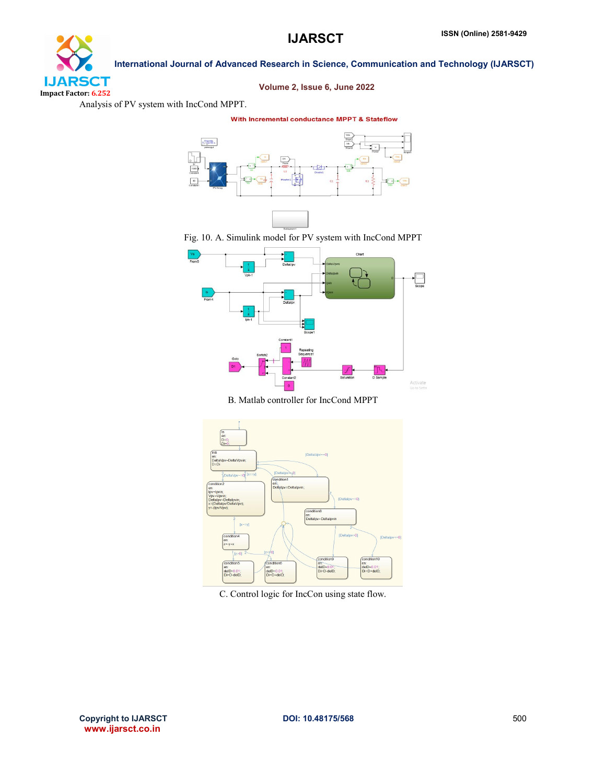## **IJARSCT** Impact Factor: 6.252

Volume 2, Issue 6, June 2022

International Journal of Advanced Research in Science, Communication and Technology (IJARSCT)

Analysis of PV system with IncCond MPPT.

With Incremental conductance MPPT & Stateflow



Fig. 10. A. Simulink model for PV system with IncCond MPPT



B. Matlab controller for IncCond MPPT



C. Control logic for IncCon using state flow.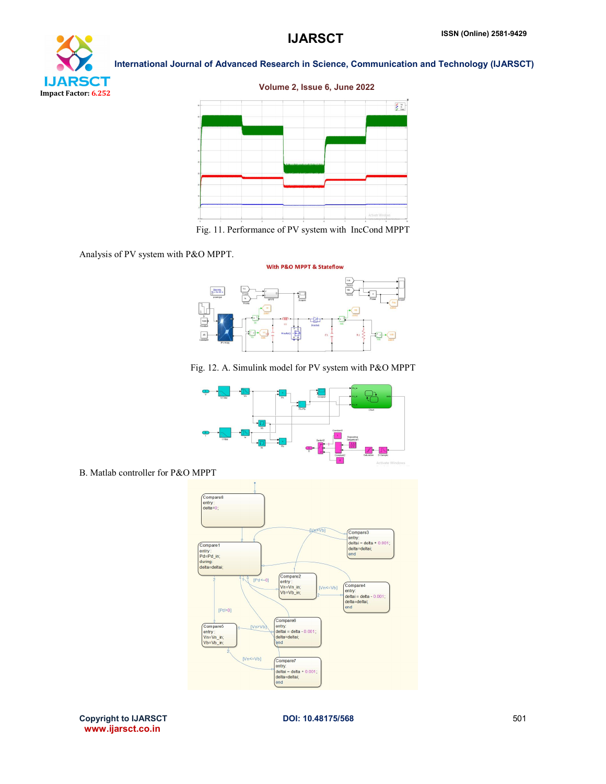

Volume 2, Issue 6, June 2022



Fig. 11. Performance of PV system with IncCond MPPT





Fig. 12. A. Simulink model for PV system with P&O MPPT



B. Matlab controller for P&O MPPT



Copyright to IJARSCT **DOI: 10.48175/568** 501 www.ijarsct.co.in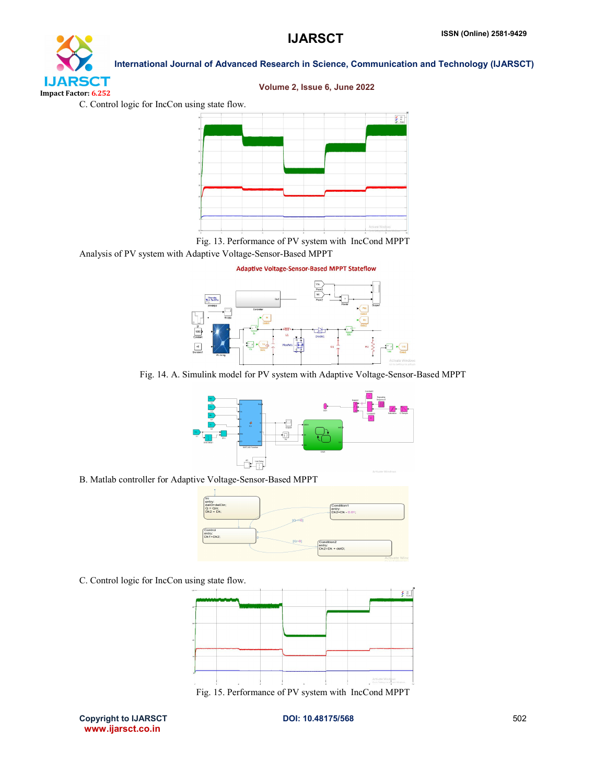# **IJARSCT** Impact Factor: 6.252

International Journal of Advanced Research in Science, Communication and Technology (IJARSCT)

## Volume 2, Issue 6, June 2022

C. Control logic for IncCon using state flow.



Fig. 13. Performance of PV system with IncCond MPPT

Analysis of PV system with Adaptive Voltage-Sensor-Based MPPT



Fig. 14. A. Simulink model for PV system with Adaptive Voltage-Sensor-Based MPPT



B. Matlab controller for Adaptive Voltage-Sensor-Based MPPT



C. Control logic for IncCon using state flow.



Copyright to IJARSCT **DOI: 10.48175/568** 502 www.ijarsct.co.in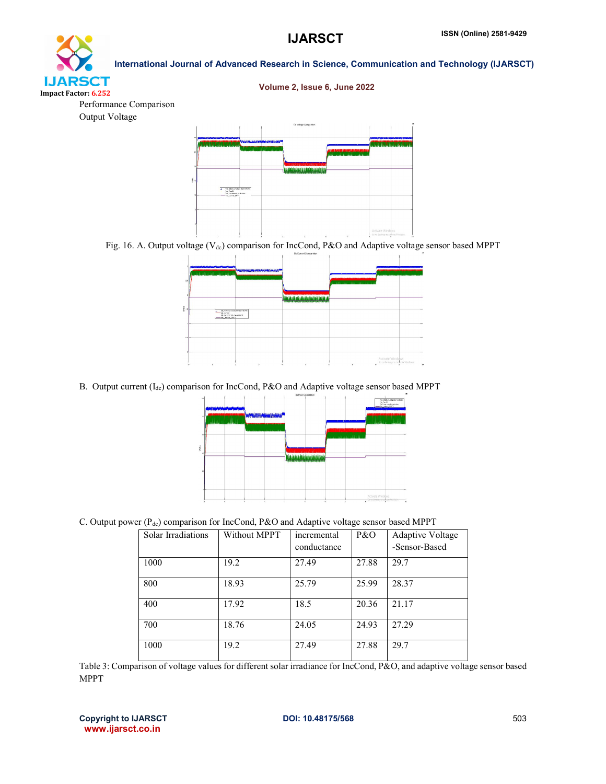# **IJARSCT** Impact Factor: 6.252

International Journal of Advanced Research in Science, Communication and Technology (IJARSCT)



Performance Comparison Output Voltage



Fig. 16. A. Output voltage (V<sub>dc</sub>) comparison for IncCond, P&O and Adaptive voltage sensor based MPPT

|     | <b>NUMBER OF STREET AND STREET AND INCOMER</b><br>بالمادان فالمقدر بالفقياء وبالأفياء لرفقانه          |                              | .<br>- 11<br>2.000 - 000 - 000 - 000 - 000 - 000              |
|-----|--------------------------------------------------------------------------------------------------------|------------------------------|---------------------------------------------------------------|
| į.  | Mr. Annika William Sanna Financ<br><b>Charles</b><br>Mr. ho are toll condection 1<br>the street street | <b>UNA AUGUSTRATIONALISM</b> |                                                               |
| 0.8 |                                                                                                        |                              | Activate Windows<br>Go to Settings to activate Windows.<br>12 |

B. Output current (Idc) comparison for IncCond, P&O and Adaptive voltage sensor based MPPT

| 105<br>يبياني البير البينياء ارتيان يبن |                                                                                                       | to scratt coupages a        |                   | PSCARplic Volge Scharless<br>Pacificate<br>For heartest controls<br>THE SHEET WAS |
|-----------------------------------------|-------------------------------------------------------------------------------------------------------|-----------------------------|-------------------|-----------------------------------------------------------------------------------|
| ×                                       | <b>WARTHUMAN WARTHAM OF</b><br><u>i politika marakan ya mwaka 1980 ya 198</u><br>A contact interface. |                             |                   |                                                                                   |
| ٠<br>Wala<br>×                          |                                                                                                       | أملحوه بلعدة ولكناهة الماله | للأحائك القت العا |                                                                                   |
|                                         |                                                                                                       |                             |                   |                                                                                   |
|                                         |                                                                                                       |                             |                   | Activate Windows<br>consistenza e consistenza                                     |

C. Output power (P<sub>dc</sub>) comparison for IncCond, P&O and Adaptive voltage sensor based MPPT

| Solar Irradiations | Without MPPT | incremental | P&O   | Adaptive Voltage |
|--------------------|--------------|-------------|-------|------------------|
|                    |              | conductance |       | -Sensor-Based    |
| 1000               | 19.2         | 27.49       | 27.88 | 29.7             |
| 800                | 18.93        | 25.79       | 25.99 | 28.37            |
| 400                | 17.92        | 18.5        | 20.36 | 21.17            |
| 700                | 18.76        | 24.05       | 24.93 | 27.29            |
| 1000               | 19.2         | 27.49       | 27.88 | 29.7             |

Table 3: Comparison of voltage values for different solar irradiance for IncCond, P&O, and adaptive voltage sensor based MPPT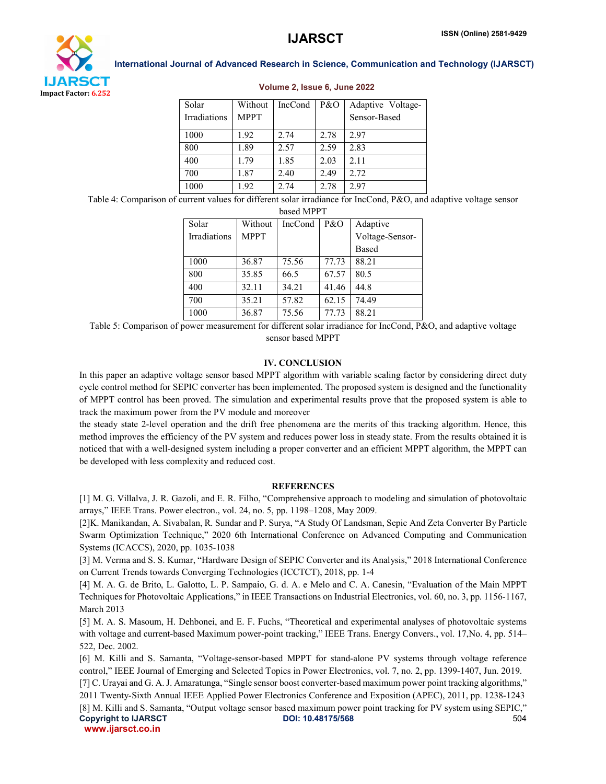

| Solar<br><b>Irradiations</b> | Without<br><b>MPPT</b> | IncCond | P&O  | Adaptive Voltage-<br>Sensor-Based |
|------------------------------|------------------------|---------|------|-----------------------------------|
| 1000                         | 1.92                   | 2.74    | 2.78 | 2.97                              |
| 800                          | 1.89                   | 2.57    | 2.59 | 2.83                              |
| 400                          | 1.79                   | 1.85    | 2.03 | 2.11                              |
| 700                          | 1.87                   | 2.40    | 2.49 | 2.72                              |
| 1000                         | 1.92                   | 2.74    | 2.78 | 2.97                              |

#### Volume 2, Issue 6, June 2022

Table 4: Comparison of current values for different solar irradiance for IncCond, P&O, and adaptive voltage sensor based MPPT

| DASCU IVIT F 1      |             |         |       |                 |  |
|---------------------|-------------|---------|-------|-----------------|--|
| Solar               | Without     | IncCond | P&O   | Adaptive        |  |
| <b>Irradiations</b> | <b>MPPT</b> |         |       | Voltage-Sensor- |  |
|                     |             |         |       | Based           |  |
| 1000                | 36.87       | 75.56   | 77.73 | 88.21           |  |
| 800                 | 35.85       | 66.5    | 67.57 | 80.5            |  |
| 400                 | 32.11       | 34.21   | 41.46 | 44.8            |  |
| 700                 | 35.21       | 57.82   | 62.15 | 74.49           |  |
| 1000                | 36.87       | 75.56   | 77.73 | 88.21           |  |

Table 5: Comparison of power measurement for different solar irradiance for IncCond, P&O, and adaptive voltage sensor based MPPT

#### IV. CONCLUSION

In this paper an adaptive voltage sensor based MPPT algorithm with variable scaling factor by considering direct duty cycle control method for SEPIC converter has been implemented. The proposed system is designed and the functionality of MPPT control has been proved. The simulation and experimental results prove that the proposed system is able to track the maximum power from the PV module and moreover

the steady state 2-level operation and the drift free phenomena are the merits of this tracking algorithm. Hence, this method improves the efficiency of the PV system and reduces power loss in steady state. From the results obtained it is noticed that with a well-designed system including a proper converter and an efficient MPPT algorithm, the MPPT can be developed with less complexity and reduced cost.

#### **REFERENCES**

[1] M. G. Villalva, J. R. Gazoli, and E. R. Filho, "Comprehensive approach to modeling and simulation of photovoltaic arrays," IEEE Trans. Power electron., vol. 24, no. 5, pp. 1198–1208, May 2009.

[2]K. Manikandan, A. Sivabalan, R. Sundar and P. Surya, "A Study Of Landsman, Sepic And Zeta Converter By Particle Swarm Optimization Technique," 2020 6th International Conference on Advanced Computing and Communication Systems (ICACCS), 2020, pp. 1035-1038

[3] M. Verma and S. S. Kumar, "Hardware Design of SEPIC Converter and its Analysis," 2018 International Conference on Current Trends towards Converging Technologies (ICCTCT), 2018, pp. 1-4

[4] M. A. G. de Brito, L. Galotto, L. P. Sampaio, G. d. A. e Melo and C. A. Canesin, "Evaluation of the Main MPPT Techniques for Photovoltaic Applications," in IEEE Transactions on Industrial Electronics, vol. 60, no. 3, pp. 1156-1167, March 2013

[5] M. A. S. Masoum, H. Dehbonei, and E. F. Fuchs, "Theoretical and experimental analyses of photovoltaic systems with voltage and current-based Maximum power-point tracking," IEEE Trans. Energy Convers., vol. 17,No. 4, pp. 514– 522, Dec. 2002.

Copyright to IJARSCT **DOI: 10.48175/568** 504 [6] M. Killi and S. Samanta, "Voltage-sensor-based MPPT for stand-alone PV systems through voltage reference control," IEEE Journal of Emerging and Selected Topics in Power Electronics, vol. 7, no. 2, pp. 1399-1407, Jun. 2019. [7] C. Urayai and G. A. J. Amaratunga, "Single sensor boost converter-based maximum power point tracking algorithms," 2011 Twenty-Sixth Annual IEEE Applied Power Electronics Conference and Exposition (APEC), 2011, pp. 1238-1243 [8] M. Killi and S. Samanta, "Output voltage sensor based maximum power point tracking for PV system using SEPIC,"